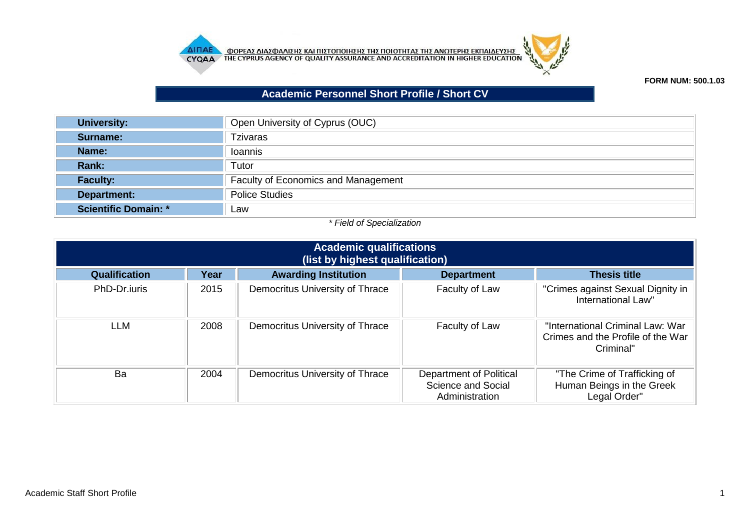



## **FORM NUM: 500.1.03**

## **Academic Personnel Short Profile / Short CV**

| <b>University:</b>   | Open University of Cyprus (OUC)            |
|----------------------|--------------------------------------------|
| Surname:             | <b>Tzivaras</b>                            |
| Name:                | Ioannis                                    |
| Rank:                | Tutor                                      |
| <b>Faculty:</b>      | <b>Faculty of Economics and Management</b> |
| Department:          | <b>Police Studies</b>                      |
| Scientific Domain: * | Law                                        |

## *\* Field of Specialization*

| <b>Academic qualifications</b><br>(list by highest qualification) |      |                                 |                                                                 |                                                                                    |  |  |
|-------------------------------------------------------------------|------|---------------------------------|-----------------------------------------------------------------|------------------------------------------------------------------------------------|--|--|
| Qualification                                                     | Year | <b>Awarding Institution</b>     | <b>Department</b>                                               | <b>Thesis title</b>                                                                |  |  |
| PhD-Dr.iuris                                                      | 2015 | Democritus University of Thrace | Faculty of Law                                                  | "Crimes against Sexual Dignity in<br>International Law"                            |  |  |
| LLM                                                               | 2008 | Democritus University of Thrace | Faculty of Law                                                  | "International Criminal Law: War<br>Crimes and the Profile of the War<br>Criminal" |  |  |
| Ba                                                                | 2004 | Democritus University of Thrace | Department of Political<br>Science and Social<br>Administration | "The Crime of Trafficking of<br>Human Beings in the Greek<br>Legal Order"          |  |  |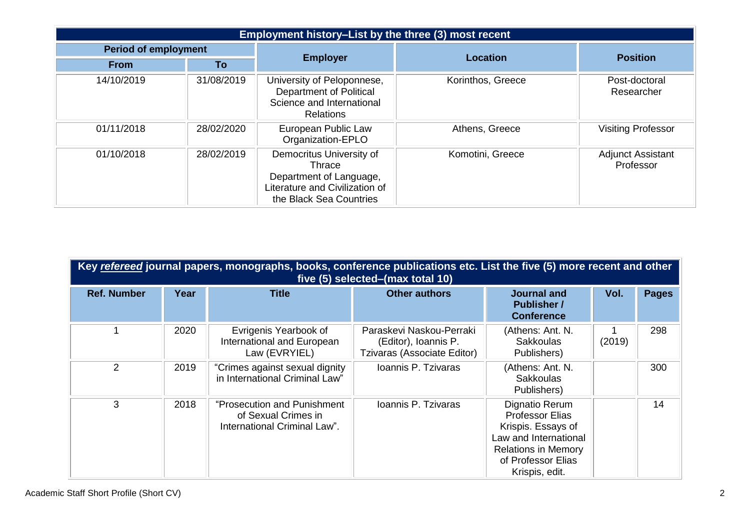| Employment history-List by the three (3) most recent |            |                                                                                                                            |                   |                                       |  |  |
|------------------------------------------------------|------------|----------------------------------------------------------------------------------------------------------------------------|-------------------|---------------------------------------|--|--|
| <b>Period of employment</b>                          |            | <b>Employer</b>                                                                                                            | <b>Location</b>   | <b>Position</b>                       |  |  |
| <b>From</b>                                          | To         |                                                                                                                            |                   |                                       |  |  |
| 14/10/2019                                           | 31/08/2019 | University of Peloponnese,<br>Department of Political<br>Science and International<br><b>Relations</b>                     | Korinthos, Greece | Post-doctoral<br>Researcher           |  |  |
| 01/11/2018                                           | 28/02/2020 | European Public Law<br>Organization-EPLO                                                                                   | Athens, Greece    | <b>Visiting Professor</b>             |  |  |
| 01/10/2018                                           | 28/02/2019 | Democritus University of<br>Thrace<br>Department of Language,<br>Literature and Civilization of<br>the Black Sea Countries | Komotini, Greece  | <b>Adjunct Assistant</b><br>Professor |  |  |

| Key refereed journal papers, monographs, books, conference publications etc. List the five (5) more recent and other<br>five (5) selected–(max total 10) |      |                                                                                    |                                                                                 |                                                                                                                                                               |        |              |  |
|----------------------------------------------------------------------------------------------------------------------------------------------------------|------|------------------------------------------------------------------------------------|---------------------------------------------------------------------------------|---------------------------------------------------------------------------------------------------------------------------------------------------------------|--------|--------------|--|
| <b>Ref. Number</b>                                                                                                                                       | Year | <b>Title</b>                                                                       | <b>Other authors</b>                                                            | <b>Journal and</b><br><b>Publisher /</b><br><b>Conference</b>                                                                                                 | Vol.   | <b>Pages</b> |  |
|                                                                                                                                                          | 2020 | Evrigenis Yearbook of<br>International and European<br>Law (EVRYIEL)               | Paraskevi Naskou-Perraki<br>(Editor), Ioannis P.<br>Tzivaras (Associate Editor) | (Athens: Ant. N.<br><b>Sakkoulas</b><br>Publishers)                                                                                                           | (2019) | 298          |  |
| $\overline{2}$                                                                                                                                           | 2019 | "Crimes against sexual dignity<br>in International Criminal Law"                   | Ioannis P. Tzivaras                                                             | (Athens: Ant. N.<br><b>Sakkoulas</b><br>Publishers)                                                                                                           |        | 300          |  |
| 3                                                                                                                                                        | 2018 | "Prosecution and Punishment<br>of Sexual Crimes in<br>International Criminal Law". | Ioannis P. Tzivaras                                                             | Dignatio Rerum<br><b>Professor Elias</b><br>Krispis. Essays of<br>Law and International<br><b>Relations in Memory</b><br>of Professor Elias<br>Krispis, edit. |        | 14           |  |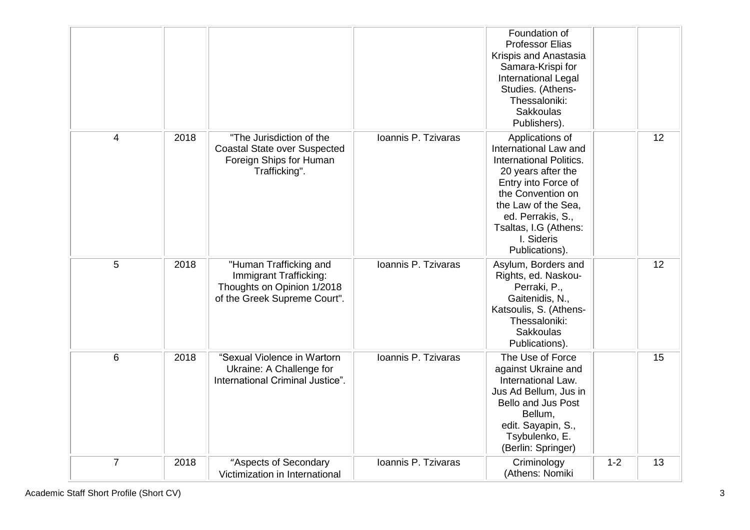|                |      |                                                                                                                |                     | Foundation of<br><b>Professor Elias</b><br>Krispis and Anastasia<br>Samara-Krispi for<br>International Legal<br>Studies. (Athens-<br>Thessaloniki:<br><b>Sakkoulas</b><br>Publishers).                                                            |         |    |
|----------------|------|----------------------------------------------------------------------------------------------------------------|---------------------|---------------------------------------------------------------------------------------------------------------------------------------------------------------------------------------------------------------------------------------------------|---------|----|
| 4              | 2018 | "The Jurisdiction of the<br><b>Coastal State over Suspected</b><br>Foreign Ships for Human<br>Trafficking".    | Ioannis P. Tzivaras | Applications of<br>International Law and<br><b>International Politics.</b><br>20 years after the<br>Entry into Force of<br>the Convention on<br>the Law of the Sea,<br>ed. Perrakis, S.,<br>Tsaltas, I.G (Athens:<br>I. Sideris<br>Publications). |         | 12 |
| 5              | 2018 | "Human Trafficking and<br>Immigrant Trafficking:<br>Thoughts on Opinion 1/2018<br>of the Greek Supreme Court". | Ioannis P. Tzivaras | Asylum, Borders and<br>Rights, ed. Naskou-<br>Perraki, P.,<br>Gaitenidis, N.,<br>Katsoulis, S. (Athens-<br>Thessaloniki:<br>Sakkoulas<br>Publications).                                                                                           |         | 12 |
| $6\phantom{1}$ | 2018 | "Sexual Violence in Wartorn<br>Ukraine: A Challenge for<br>International Criminal Justice".                    | Ioannis P. Tzivaras | The Use of Force<br>against Ukraine and<br>International Law.<br>Jus Ad Bellum, Jus in<br><b>Bello and Jus Post</b><br>Bellum,<br>edit. Sayapin, S.,<br>Tsybulenko, E.<br>(Berlin: Springer)                                                      |         | 15 |
| $\overline{7}$ | 2018 | "Aspects of Secondary<br>Victimization in International                                                        | Ioannis P. Tzivaras | Criminology<br>(Athens: Nomiki                                                                                                                                                                                                                    | $1 - 2$ | 13 |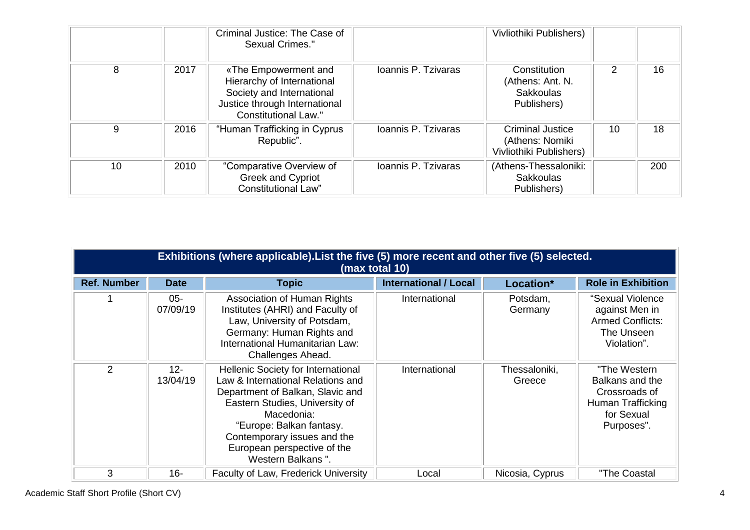|    |      | Criminal Justice: The Case of<br>Sexual Crimes."                                                                                                |                     | Vivliothiki Publishers)                                               |    |     |
|----|------|-------------------------------------------------------------------------------------------------------------------------------------------------|---------------------|-----------------------------------------------------------------------|----|-----|
| 8  | 2017 | «The Empowerment and<br>Hierarchy of International<br>Society and International<br>Justice through International<br><b>Constitutional Law."</b> | Ioannis P. Tzivaras | Constitution<br>(Athens: Ant. N.<br><b>Sakkoulas</b><br>Publishers)   | 2  | 16  |
| 9  | 2016 | "Human Trafficking in Cyprus<br>Republic".                                                                                                      | Ioannis P. Tzivaras | <b>Criminal Justice</b><br>(Athens: Nomiki<br>Vivliothiki Publishers) | 10 | 18  |
| 10 | 2010 | "Comparative Overview of<br>Greek and Cypriot<br><b>Constitutional Law"</b>                                                                     | Ioannis P. Tzivaras | (Athens-Thessaloniki:<br><b>Sakkoulas</b><br>Publishers)              |    | 200 |

|                    | Exhibitions (where applicable). List the five (5) more recent and other five (5) selected.<br>(max total 10) |                                                                                                                                                                                                                                                                            |                              |                         |                                                                                                   |  |  |  |
|--------------------|--------------------------------------------------------------------------------------------------------------|----------------------------------------------------------------------------------------------------------------------------------------------------------------------------------------------------------------------------------------------------------------------------|------------------------------|-------------------------|---------------------------------------------------------------------------------------------------|--|--|--|
| <b>Ref. Number</b> | <b>Date</b>                                                                                                  | <b>Topic</b>                                                                                                                                                                                                                                                               | <b>International / Local</b> | Location*               | <b>Role in Exhibition</b>                                                                         |  |  |  |
|                    | $05 -$<br>07/09/19                                                                                           | <b>Association of Human Rights</b><br>Institutes (AHRI) and Faculty of<br>Law, University of Potsdam,<br>Germany: Human Rights and<br>International Humanitarian Law:<br>Challenges Ahead.                                                                                 | International                | Potsdam,<br>Germany     | "Sexual Violence<br>against Men in<br><b>Armed Conflicts:</b><br>The Unseen<br>Violation".        |  |  |  |
| 2                  | $12 -$<br>13/04/19                                                                                           | Hellenic Society for International<br>Law & International Relations and<br>Department of Balkan, Slavic and<br>Eastern Studies, University of<br>Macedonia:<br>"Europe: Balkan fantasy.<br>Contemporary issues and the<br>European perspective of the<br>Western Balkans". | International                | Thessaloniki,<br>Greece | "The Western<br>Balkans and the<br>Crossroads of<br>Human Trafficking<br>for Sexual<br>Purposes". |  |  |  |
| 3                  | $16 -$                                                                                                       | Faculty of Law, Frederick University                                                                                                                                                                                                                                       | Local                        | Nicosia, Cyprus         | "The Coastal                                                                                      |  |  |  |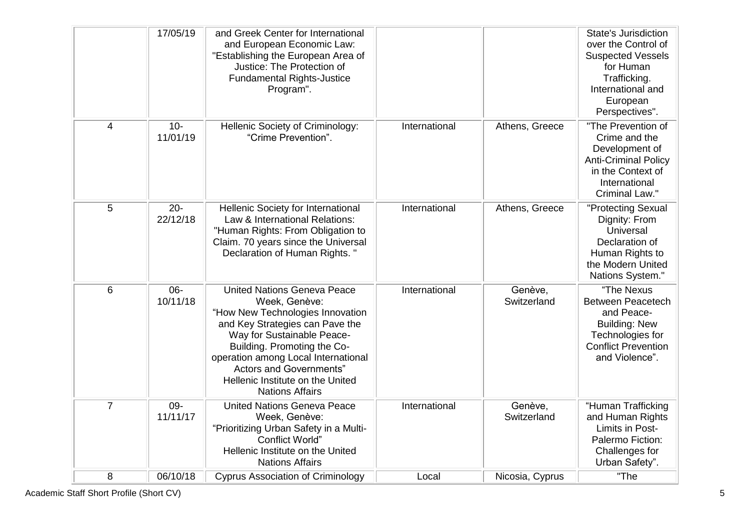|                | 17/05/19           | and Greek Center for International<br>and European Economic Law:<br>"Establishing the European Area of<br>Justice: The Protection of<br><b>Fundamental Rights-Justice</b><br>Program".                                                                                                                                         |               |                        | <b>State's Jurisdiction</b><br>over the Control of<br><b>Suspected Vessels</b><br>for Human<br>Trafficking.<br>International and<br>European<br>Perspectives". |
|----------------|--------------------|--------------------------------------------------------------------------------------------------------------------------------------------------------------------------------------------------------------------------------------------------------------------------------------------------------------------------------|---------------|------------------------|----------------------------------------------------------------------------------------------------------------------------------------------------------------|
| 4              | $10 -$<br>11/01/19 | Hellenic Society of Criminology:<br>"Crime Prevention".                                                                                                                                                                                                                                                                        | International | Athens, Greece         | "The Prevention of<br>Crime and the<br>Development of<br><b>Anti-Criminal Policy</b><br>in the Context of<br>International<br>Criminal Law."                   |
| 5              | $20 -$<br>22/12/18 | Hellenic Society for International<br>Law & International Relations:<br>"Human Rights: From Obligation to<br>Claim. 70 years since the Universal<br>Declaration of Human Rights."                                                                                                                                              | International | Athens, Greece         | "Protecting Sexual<br>Dignity: From<br>Universal<br>Declaration of<br>Human Rights to<br>the Modern United<br>Nations System."                                 |
| 6              | $06 -$<br>10/11/18 | <b>United Nations Geneva Peace</b><br>Week, Genève:<br>"How New Technologies Innovation<br>and Key Strategies can Pave the<br>Way for Sustainable Peace-<br>Building. Promoting the Co-<br>operation among Local International<br><b>Actors and Governments"</b><br>Hellenic Institute on the United<br><b>Nations Affairs</b> | International | Genève,<br>Switzerland | "The Nexus<br><b>Between Peacetech</b><br>and Peace-<br><b>Building: New</b><br>Technologies for<br><b>Conflict Prevention</b><br>and Violence".               |
| $\overline{7}$ | 09-<br>11/11/17    | <b>United Nations Geneva Peace</b><br>Week, Genève:<br>"Prioritizing Urban Safety in a Multi-<br><b>Conflict World"</b><br>Hellenic Institute on the United<br><b>Nations Affairs</b>                                                                                                                                          | International | Genève,<br>Switzerland | "Human Trafficking<br>and Human Rights<br>Limits in Post-<br>Palermo Fiction:<br>Challenges for<br>Urban Safety".                                              |
| 8              | 06/10/18           | <b>Cyprus Association of Criminology</b>                                                                                                                                                                                                                                                                                       | Local         | Nicosia, Cyprus        | "The                                                                                                                                                           |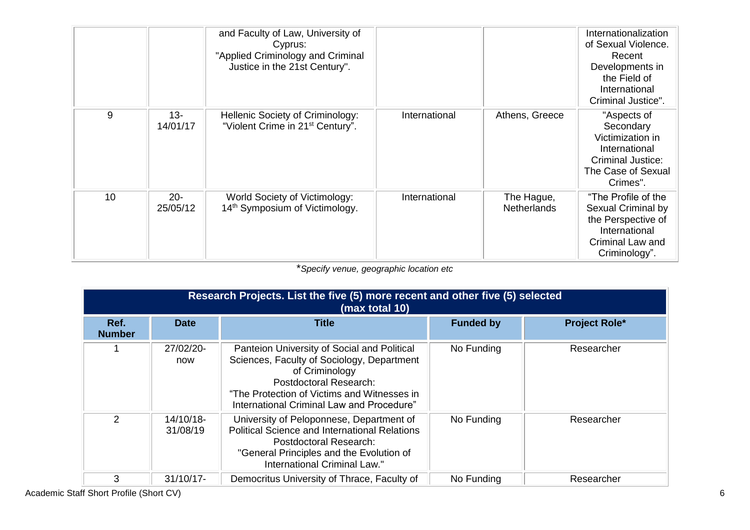|    |                    | and Faculty of Law, University of<br>Cyprus:<br>"Applied Criminology and Criminal<br>Justice in the 21st Century". |               |                                  | Internationalization<br>of Sexual Violence.<br>Recent<br>Developments in<br>the Field of<br>International<br>Criminal Justice". |
|----|--------------------|--------------------------------------------------------------------------------------------------------------------|---------------|----------------------------------|---------------------------------------------------------------------------------------------------------------------------------|
| 9  | $13 -$<br>14/01/17 | Hellenic Society of Criminology:<br>"Violent Crime in 21 <sup>st</sup> Century".                                   | International | Athens, Greece                   | "Aspects of<br>Secondary<br>Victimization in<br>International<br><b>Criminal Justice:</b><br>The Case of Sexual<br>Crimes".     |
| 10 | $20 -$<br>25/05/12 | World Society of Victimology:<br>14 <sup>th</sup> Symposium of Victimology.                                        | International | The Hague,<br><b>Netherlands</b> | "The Profile of the<br>Sexual Criminal by<br>the Perspective of<br>International<br>Criminal Law and<br>Criminology".           |

\**Specify venue, geographic location etc*

|                       | Research Projects. List the five (5) more recent and other five (5) selected<br>(max total 10) |                                                                                                                                                                                                                                          |                  |                      |  |  |  |  |
|-----------------------|------------------------------------------------------------------------------------------------|------------------------------------------------------------------------------------------------------------------------------------------------------------------------------------------------------------------------------------------|------------------|----------------------|--|--|--|--|
| Ref.<br><b>Number</b> | <b>Date</b>                                                                                    | <b>Title</b>                                                                                                                                                                                                                             | <b>Funded by</b> | <b>Project Role*</b> |  |  |  |  |
|                       | 27/02/20-<br>now                                                                               | Panteion University of Social and Political<br>Sciences, Faculty of Sociology, Department<br>of Criminology<br><b>Postdoctoral Research:</b><br>"The Protection of Victims and Witnesses in<br>International Criminal Law and Procedure" | No Funding       | Researcher           |  |  |  |  |
| 2                     | 14/10/18-<br>31/08/19                                                                          | University of Peloponnese, Department of<br><b>Political Science and International Relations</b><br>Postdoctoral Research:<br>"General Principles and the Evolution of<br>International Criminal Law."                                   | No Funding       | Researcher           |  |  |  |  |
| 3                     | $31/10/17$ -                                                                                   | Democritus University of Thrace, Faculty of                                                                                                                                                                                              | No Funding       | Researcher           |  |  |  |  |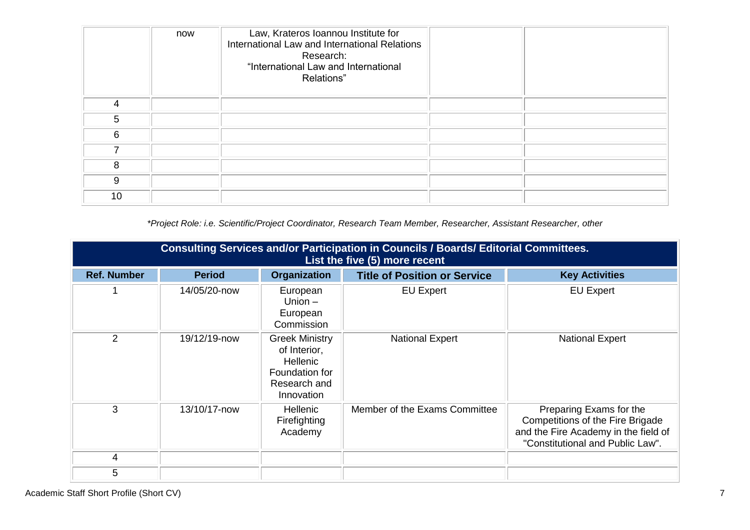|    | now | Law, Krateros Ioannou Institute for<br>International Law and International Relations<br>Research:<br>"International Law and International<br>Relations" |  |
|----|-----|---------------------------------------------------------------------------------------------------------------------------------------------------------|--|
| 4  |     |                                                                                                                                                         |  |
| 5  |     |                                                                                                                                                         |  |
| 6  |     |                                                                                                                                                         |  |
| ⇁  |     |                                                                                                                                                         |  |
| 8  |     |                                                                                                                                                         |  |
| 9  |     |                                                                                                                                                         |  |
| 10 |     |                                                                                                                                                         |  |

*\*Project Role: i.e. Scientific/Project Coordinator, Research Team Member, Researcher, Assistant Researcher, other*

| <b>Consulting Services and/or Participation in Councils / Boards/ Editorial Committees.</b><br>List the five (5) more recent |               |                                                                                                          |                                     |                                                                                                                                                |  |  |
|------------------------------------------------------------------------------------------------------------------------------|---------------|----------------------------------------------------------------------------------------------------------|-------------------------------------|------------------------------------------------------------------------------------------------------------------------------------------------|--|--|
| <b>Ref. Number</b>                                                                                                           | <b>Period</b> | <b>Organization</b>                                                                                      | <b>Title of Position or Service</b> | <b>Key Activities</b>                                                                                                                          |  |  |
|                                                                                                                              | 14/05/20-now  | European<br>Union $-$<br>European<br>Commission                                                          | <b>EU Expert</b>                    | <b>EU Expert</b>                                                                                                                               |  |  |
| 2                                                                                                                            | 19/12/19-now  | <b>Greek Ministry</b><br>of Interior,<br><b>Hellenic</b><br>Foundation for<br>Research and<br>Innovation | <b>National Expert</b>              | <b>National Expert</b>                                                                                                                         |  |  |
| 3                                                                                                                            | 13/10/17-now  | <b>Hellenic</b><br>Firefighting<br>Academy                                                               | Member of the Exams Committee       | Preparing Exams for the<br><b>Competitions of the Fire Brigade</b><br>and the Fire Academy in the field of<br>"Constitutional and Public Law". |  |  |
| 4                                                                                                                            |               |                                                                                                          |                                     |                                                                                                                                                |  |  |
| 5                                                                                                                            |               |                                                                                                          |                                     |                                                                                                                                                |  |  |